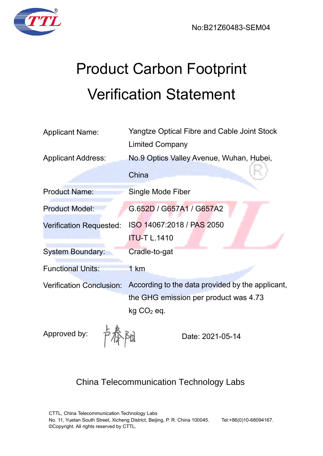



# Product Carbon Footprint Verification Statement

| <b>Yangtze Optical Fibre and Cable Joint Stock</b>                                        |  |
|-------------------------------------------------------------------------------------------|--|
| <b>Limited Company</b>                                                                    |  |
| No.9 Optics Valley Avenue, Wuhan, Hubei,                                                  |  |
| China                                                                                     |  |
| Single Mode Fiber                                                                         |  |
| G.652D / G657A1 / G657A2                                                                  |  |
| ISO 14067:2018 / PAS 2050                                                                 |  |
| <b>ITU-T L.1410</b>                                                                       |  |
| Cradle-to-gat                                                                             |  |
| 1 km                                                                                      |  |
| According to the data provided by the applicant,<br>the GHG emission per product was 4.73 |  |
|                                                                                           |  |
|                                                                                           |  |

Approved by:

 $\frac{1}{2}$  Date: 2021-05-14

# China Telecommunication Technology Labs